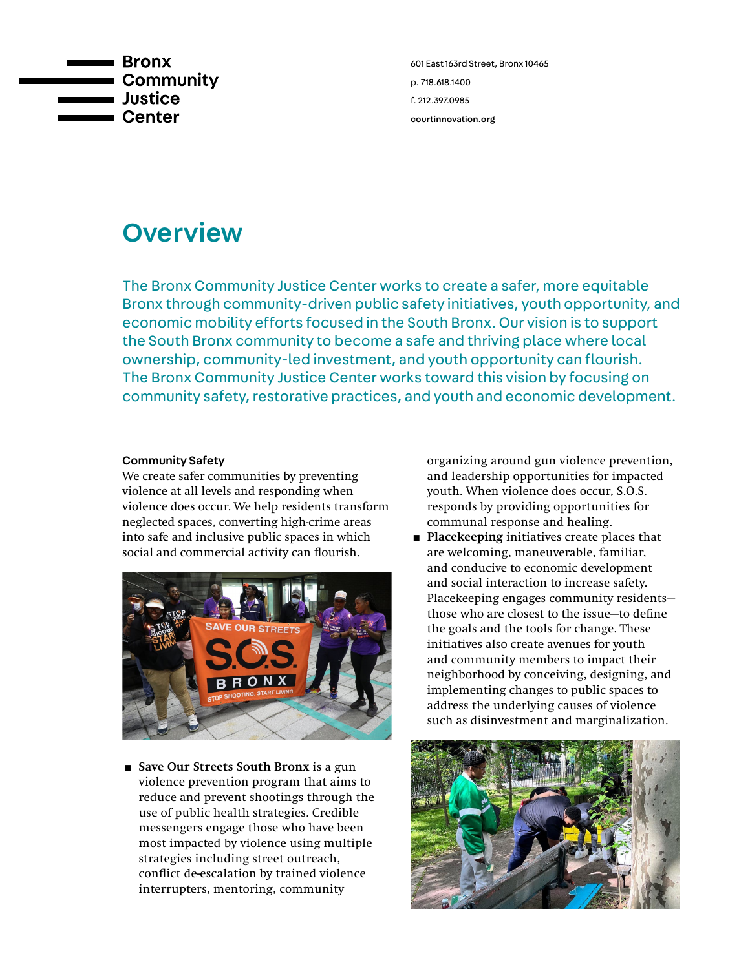

601 East 163rd Street, Bronx 10465 p. 718.618.1400 f. 212.397.0985 [courtinnovation.org](http://www.courtinnovation.org)

# **Overview**

The Bronx Community Justice Center works to create a safer, more equitable Bronx through community-driven public safety initiatives, youth opportunity, and economic mobility efforts focused in the South Bronx. Our vision is to support the South Bronx community to become a safe and thriving place where local ownership, community-led investment, and youth opportunity can flourish. The Bronx Community Justice Center works toward this vision by focusing on community safety, restorative practices, and youth and economic development.

### Community Safety

We create safer communities by preventing violence at all levels and responding when violence does occur. We help residents transform neglected spaces, converting high-crime areas into safe and inclusive public spaces in which social and commercial activity can flourish.



■ Save Our Streets South Bronx is a gun violence prevention program that aims to reduce and prevent shootings through the use of public health strategies. Credible messengers engage those who have been most impacted by violence using multiple strategies including street outreach, conflict de-escalation by trained violence interrupters, mentoring, community

organizing around gun violence prevention, and leadership opportunities for impacted youth. When violence does occur, S.O.S. responds by providing opportunities for communal response and healing.

**Placekeeping initiatives create places that** are welcoming, maneuverable, familiar, and conducive to economic development and social interaction to increase safety. Placekeeping engages community residents those who are closest to the issue—to define the goals and the tools for change. These initiatives also create avenues for youth and community members to impact their neighborhood by conceiving, designing, and implementing changes to public spaces to address the underlying causes of violence such as disinvestment and marginalization.